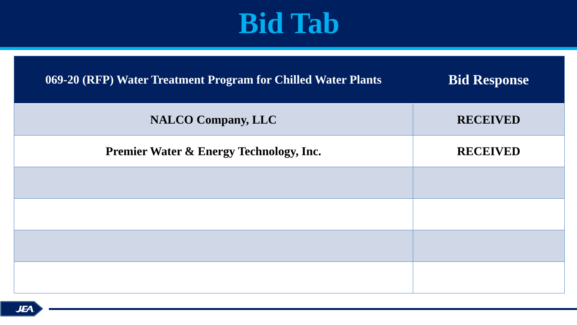### **069-20 (RFP) Water Treatment Program for Chilled Water Plants Bid Response**

**NALCO Company, LLC** RECEIVED

**Premier Water & Energy Technology, Inc.** RECEIVED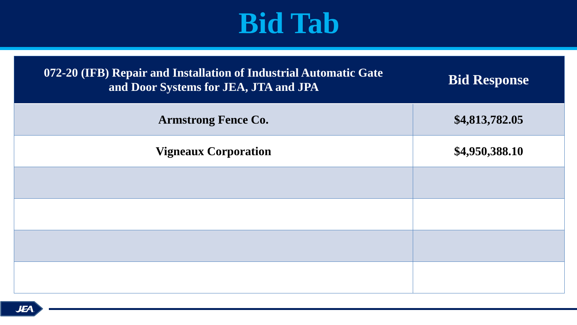| 072-20 (IFB) Repair and Installation of Industrial Automatic Gate<br>and Door Systems for JEA, JTA and JPA |  |
|------------------------------------------------------------------------------------------------------------|--|
| <b>Armstrong Fence Co.</b>                                                                                 |  |
| <b>Vigneaux Corporation</b>                                                                                |  |
|                                                                                                            |  |
|                                                                                                            |  |
|                                                                                                            |  |
|                                                                                                            |  |

### **Bid Response**

### **Armstrong Fence Co. \$4,813,782.05**

### **Vigneaux Corporation \$4,950,388.10**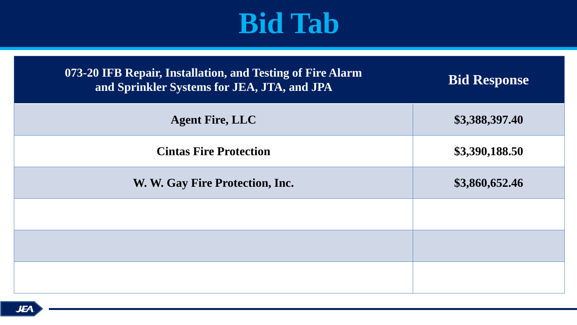**073-20 IFB Repair, Installation, and Testing of Fire Alarm and Sprinkler Systems for JEA, JTA, and JPA Bid Response**



| <b>Agent Fire, LLC</b>          |  |
|---------------------------------|--|
| <b>Cintas Fire Protection</b>   |  |
| W. W. Gay Fire Protection, Inc. |  |
|                                 |  |
|                                 |  |
|                                 |  |

#### **Agent Fire, LLC \$3,388,397.40**

### **Cintas Fire Protection \$3,390,188.50**

### **W. W. Gay Fire Protection, Inc. \$3,860,652.46**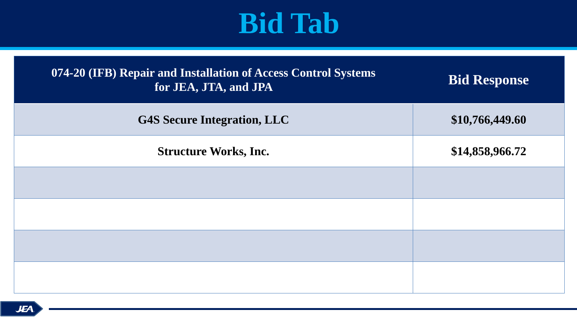| 074-20 (IFB) Repair and Installation of Access Control Systems<br>for JEA, JTA, and JPA |  |
|-----------------------------------------------------------------------------------------|--|
| <b>G4S Secure Integration, LLC</b>                                                      |  |
| <b>Structure Works, Inc.</b>                                                            |  |
|                                                                                         |  |
|                                                                                         |  |
|                                                                                         |  |
|                                                                                         |  |

### **for Bid Response**

### **G4S Secure Integration, LLC \$10,766,449.60**

### **Structure Works, Inc. \$14,858,966.72**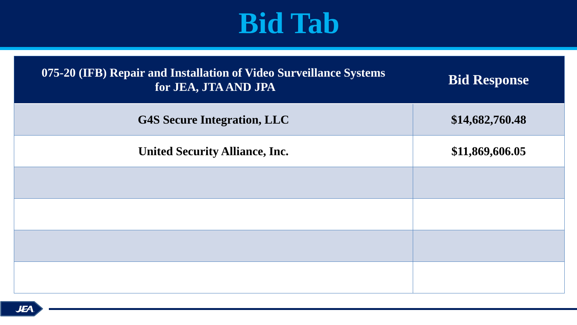| 075-20 (IFB) Repair and Installation of Video Surveillance Systems<br>for JEA, JTA AND JPA |  |
|--------------------------------------------------------------------------------------------|--|
| <b>G4S Secure Integration, LLC</b>                                                         |  |
| <b>United Security Alliance, Inc.</b>                                                      |  |
|                                                                                            |  |
|                                                                                            |  |
|                                                                                            |  |
|                                                                                            |  |

### **<b>Response**

### **G4S Secure Integration, LLC \$14,682,760.48**

### **United Security Alliance, Inc. \$11,869,606.05**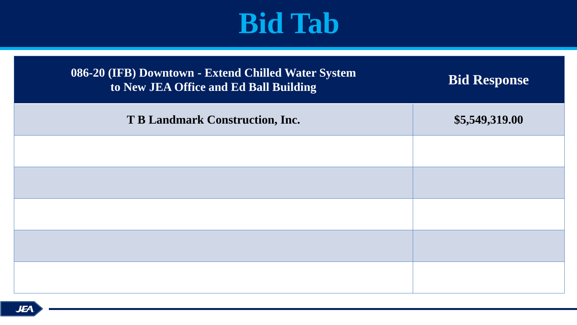| <b>086-20 (IFB) Downtown - Extend Chilled Water System</b> |
|------------------------------------------------------------|
| to New JEA Office and Ed Ball Building                     |

**T B Landmark Construction, Inc. \$5,549,319.00** 

### **to Bid Response**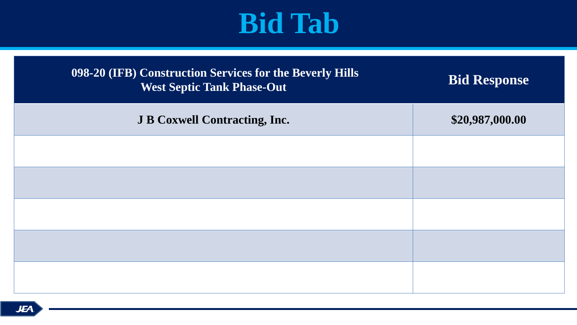| 098-20 (IFB) Construction Services for the Beverly Hills<br><b>West Septic Tank Phase-Out</b> | IX |
|-----------------------------------------------------------------------------------------------|----|
| <b>J B Coxwell Contracting, Inc.</b>                                                          |    |
|                                                                                               |    |
|                                                                                               |    |
|                                                                                               |    |
|                                                                                               |    |
|                                                                                               |    |
|                                                                                               |    |

### $B$ id Response

### **J B Coxwell Contracting, Inc. \$20,987,000.00**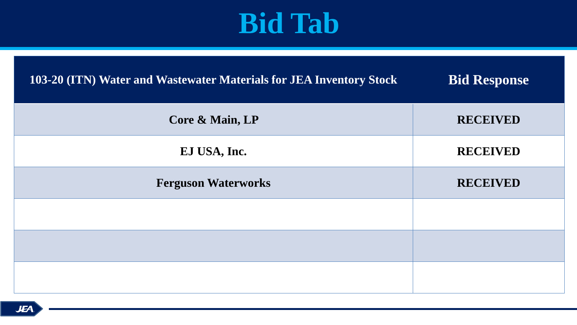### **103-20 (ITN) Water and Wastewater Materials for JEA Inventory Stock Bid Response**

| Core & Main, LP            |  |
|----------------------------|--|
| EJ USA, Inc.               |  |
| <b>Ferguson Waterworks</b> |  |
|                            |  |
|                            |  |
|                            |  |

#### $RECEIVED$

#### $RECEIVED$

### **Ferguson Waterworks RECEIVED**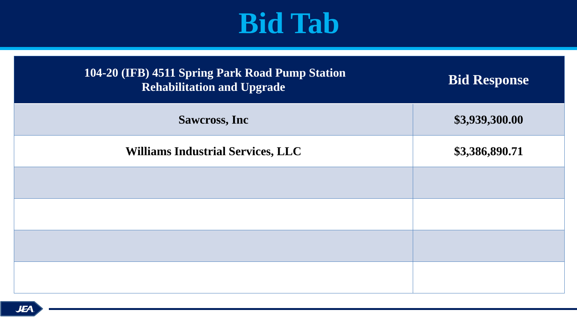| 104-20 (IFB) 4511 Spring Park Road Pump Station<br><b>Rehabilitation and Upgrade</b> |  |
|--------------------------------------------------------------------------------------|--|
| <b>Sawcross, Inc.</b>                                                                |  |
| <b>Williams Industrial Services, LLC</b>                                             |  |
|                                                                                      |  |
|                                                                                      |  |
|                                                                                      |  |
|                                                                                      |  |

### **Rid Response**

### **Sawcross, Inc \$3,939,300.00**

### **Williams Industrial Services, LLC \$3,386,890.71**